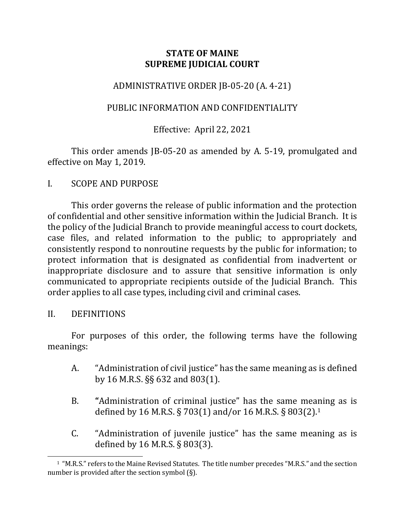# **STATE OF MAINE SUPREME JUDICIAL COURT**

# ADMINISTRATIVE ORDER JB-05-20 (A. 4-21)

### PUBLIC INFORMATION AND CONFIDENTIALITY

# Effective: April 22, 2021

This order amends JB-05-20 as amended by A. 5-19, promulgated and effective on May 1, 2019.

I. SCOPE AND PURPOSE

This order governs the release of public information and the protection of confidential and other sensitive information within the Judicial Branch. It is the policy of the Judicial Branch to provide meaningful access to court dockets, case files, and related information to the public; to appropriately and consistently respond to nonroutine requests by the public for information; to protect information that is designated as confidential from inadvertent or inappropriate disclosure and to assure that sensitive information is only communicated to appropriate recipients outside of the Judicial Branch. This order applies to all case types, including civil and criminal cases.

### II. DEFINITIONS

For purposes of this order, the following terms have the following meanings:

- A. "Administration of civil justice" has the same meaning as is defined by 16 M.R.S. §§ 632 and 803(1).
- B. **"**Administration of criminal justice" has the same meaning as is defined by 16 M.R.S. § 703(1) and/or 16 M.R.S. § 803(2).[1](#page-0-0)
- C. "Administration of juvenile justice" has the same meaning as is defined by 16 M.R.S. § 803(3).

<span id="page-0-0"></span><sup>1 &</sup>quot;M.R.S." refers to the Maine Revised Statutes. The title number precedes "M.R.S." and the section number is provided after the section symbol (§).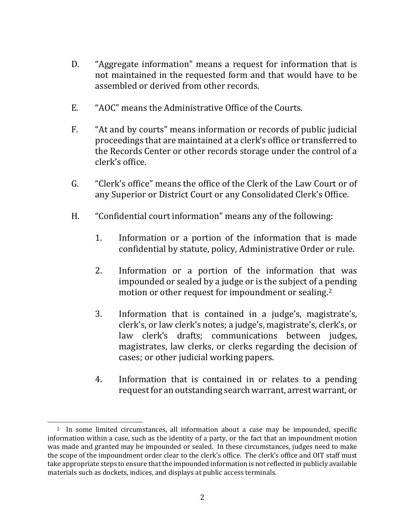- D. "Aggregate information" means a request for information that is not maintained in the requested form and that would have to be assembled or derived from other records.
- E. "AOC" means the Administrative Office of the Courts.
- F. "At and by courts" means information or records of public judicial proceedings that are maintained at a clerk's office or transferred to the Records Center or other records storage under the control of a clerk's office.
- G. "Clerk's office" means the office of the Clerk of the Law Court or of any Superior or District Court or any Consolidated Clerk's Office.
- H. "Confidential court information" means any of the following:
	- 1. Information or a portion of the information that is made confidential by statute, policy, Administrative Order or rule.
	- 2. Information or a portion of the information that was impounded or sealed by a judge or is the subject of a pending motion or other request for impoundment or sealing. [2](#page-1-0)
	- 3. Information that is contained in a judge's, magistrate's, clerk's, or law clerk's notes; a judge's, magistrate's, clerk's, or law clerk's drafts; communications between judges, magistrates, law clerks, or clerks regarding the decision of cases; or other judicial working papers.
	- 4. Information that is contained in or relates to a pending request for an outstanding search warrant, arrest warrant, or

<span id="page-1-0"></span><sup>&</sup>lt;sup>2</sup> In some limited circumstances, all information about a case may be impounded, specific information within a case, such as the identity of a party, or the fact that an impoundment motion was made and granted may be impounded or sealed. In these circumstances, judges need to make the scope of the impoundment order clear to the clerk's office. The clerk's office and OIT staff must take appropriate steps to ensure that the impounded information is not reflected in publicly available materials such as dockets, indices, and displays at public access terminals.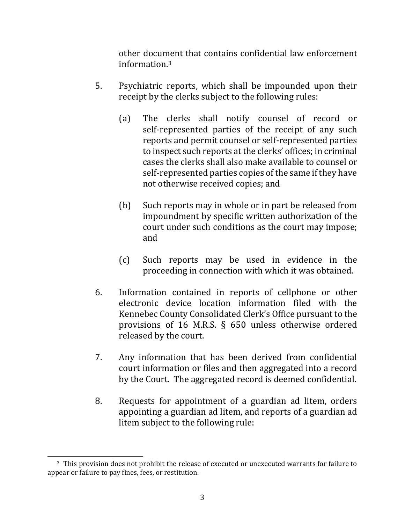other document that contains confidential law enforcement information. [3](#page-2-0)

- 5. Psychiatric reports, which shall be impounded upon their receipt by the clerks subject to the following rules:
	- (a) The clerks shall notify counsel of record or self-represented parties of the receipt of any such reports and permit counsel or self-represented parties to inspect such reports at the clerks' offices; in criminal cases the clerks shall also make available to counsel or self-represented parties copies of the same if they have not otherwise received copies; and
	- (b) Such reports may in whole or in part be released from impoundment by specific written authorization of the court under such conditions as the court may impose; and
	- (c) Such reports may be used in evidence in the proceeding in connection with which it was obtained.
- 6. Information contained in reports of cellphone or other electronic device location information filed with the Kennebec County Consolidated Clerk's Office pursuant to the provisions of 16 M.R.S. § 650 unless otherwise ordered released by the court.
- 7. Any information that has been derived from confidential court information or files and then aggregated into a record by the Court. The aggregated record is deemed confidential.
- 8. Requests for appointment of a guardian ad litem, orders appointing a guardian ad litem, and reports of a guardian ad litem subject to the following rule:

<span id="page-2-0"></span><sup>&</sup>lt;sup>3</sup> This provision does not prohibit the release of executed or unexecuted warrants for failure to appear or failure to pay fines, fees, or restitution.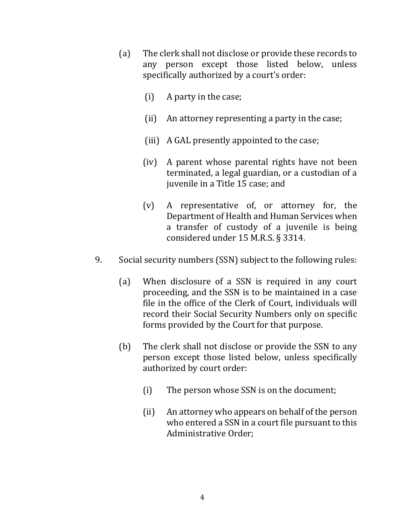- (a) The clerk shall not disclose or provide these records to any person except those listed below, unless specifically authorized by a court's order:
	- (i) A party in the case;
	- (ii) An attorney representing a party in the case;
	- (iii) A GAL presently appointed to the case;
	- (iv) A parent whose parental rights have not been terminated, a legal guardian, or a custodian of a juvenile in a Title 15 case; and
	- (v) A representative of, or attorney for, the Department of Health and Human Services when a transfer of custody of a juvenile is being considered under 15 M.R.S. § 3314.
- 9. Social security numbers (SSN) subject to the following rules:
	- (a) When disclosure of a SSN is required in any court proceeding, and the SSN is to be maintained in a case file in the office of the Clerk of Court, individuals will record their Social Security Numbers only on specific forms provided by the Court for that purpose.
	- (b) The clerk shall not disclose or provide the SSN to any person except those listed below, unless specifically authorized by court order:
		- (i) The person whose SSN is on the document;
		- (ii) An attorney who appears on behalf of the person who entered a SSN in a court file pursuant to this Administrative Order;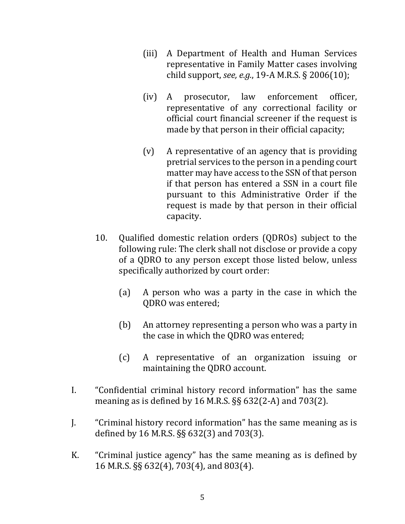- (iii) A Department of Health and Human Services representative in Family Matter cases involving child support, *see, e.g.*, 19-A M.R.S. § 2006(10);
- (iv) A prosecutor, law enforcement officer, representative of any correctional facility or official court financial screener if the request is made by that person in their official capacity;
- (v) A representative of an agency that is providing pretrial services to the person in a pending court matter may have access to the SSN of that person if that person has entered a SSN in a court file pursuant to this Administrative Order if the request is made by that person in their official capacity.
- 10. Qualified domestic relation orders (QDROs) subject to the following rule: The clerk shall not disclose or provide a copy of a QDRO to any person except those listed below, unless specifically authorized by court order:
	- (a) A person who was a party in the case in which the QDRO was entered;
	- (b) An attorney representing a person who was a party in the case in which the QDRO was entered;
	- (c) A representative of an organization issuing or maintaining the QDRO account.
- I. "Confidential criminal history record information" has the same meaning as is defined by 16 M.R.S. §§ 632(2-A) and 703(2).
- J. "Criminal history record information" has the same meaning as is defined by 16 M.R.S. §§ 632(3) and 703(3).
- K. "Criminal justice agency" has the same meaning as is defined by 16 M.R.S. §§ 632(4), 703(4), and 803(4).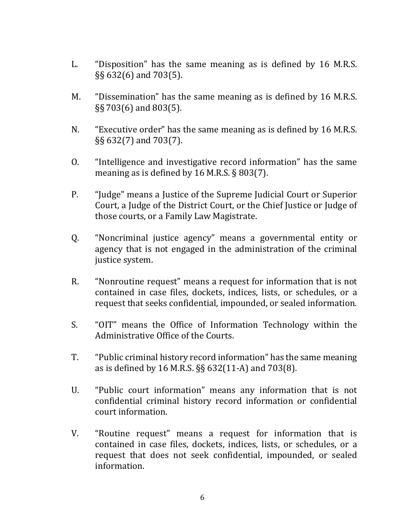- L. "Disposition" has the same meaning as is defined by 16 M.R.S. §§ 632(6) and 703(5).
- M. "Dissemination" has the same meaning as is defined by 16 M.R.S. §§ 703(6) and 803(5).
- N. "Executive order" has the same meaning as is defined by 16 M.R.S. §§ 632(7) and 703(7).
- O. "Intelligence and investigative record information" has the same meaning as is defined by 16 M.R.S. § 803(7).
- P. "Judge" means a Justice of the Supreme Judicial Court or Superior Court, a Judge of the District Court, or the Chief Justice or Judge of those courts, or a Family Law Magistrate.
- Q. "Noncriminal justice agency" means a governmental entity or agency that is not engaged in the administration of the criminal justice system.
- R. "Nonroutine request" means a request for information that is not contained in case files, dockets, indices, lists, or schedules, or a request that seeks confidential, impounded, or sealed information.
- S. "OIT" means the Office of Information Technology within the Administrative Office of the Courts.
- T. "Public criminal history record information" has the same meaning as is defined by 16 M.R.S. §§ 632(11-A) and 703(8).
- U. "Public court information" means any information that is not confidential criminal history record information or confidential court information.
- V. "Routine request" means a request for information that is contained in case files, dockets, indices, lists, or schedules, or a request that does not seek confidential, impounded, or sealed information.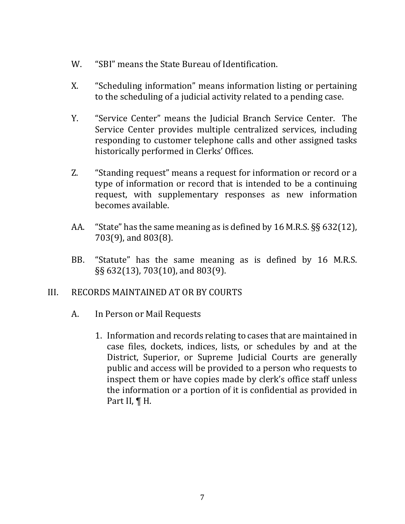- W. "SBI" means the State Bureau of Identification.
- X. "Scheduling information" means information listing or pertaining to the scheduling of a judicial activity related to a pending case.
- Y. "Service Center" means the Judicial Branch Service Center. The Service Center provides multiple centralized services, including responding to customer telephone calls and other assigned tasks historically performed in Clerks' Offices.
- Z. "Standing request" means a request for information or record or a type of information or record that is intended to be a continuing request, with supplementary responses as new information becomes available.
- AA. "State" has the same meaning as is defined by 16 M.R.S. §§ 632(12), 703(9), and 803(8).
- BB. "Statute" has the same meaning as is defined by 16 M.R.S. §§ 632(13), 703(10), and 803(9).

### III. RECORDS MAINTAINED AT OR BY COURTS

- A. In Person or Mail Requests
	- 1. Information and records relating to cases that are maintained in case files, dockets, indices, lists, or schedules by and at the District, Superior, or Supreme Judicial Courts are generally public and access will be provided to a person who requests to inspect them or have copies made by clerk's office staff unless the information or a portion of it is confidential as provided in Part II, ¶ H.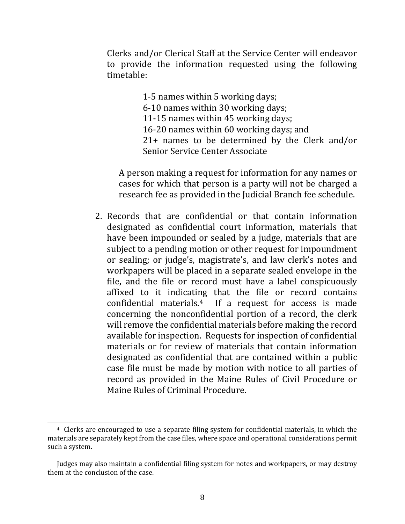Clerks and/or Clerical Staff at the Service Center will endeavor to provide the information requested using the following timetable:

1-5 names within 5 working days;

6-10 names within 30 working days;

11-15 names within 45 working days;

16-20 names within 60 working days; and

21+ names to be determined by the Clerk and/or Senior Service Center Associate

A person making a request for information for any names or cases for which that person is a party will not be charged a research fee as provided in the Judicial Branch fee schedule.

2. Records that are confidential or that contain information designated as confidential court information, materials that have been impounded or sealed by a judge, materials that are subject to a pending motion or other request for impoundment or sealing; or judge's, magistrate's, and law clerk's notes and workpapers will be placed in a separate sealed envelope in the file, and the file or record must have a label conspicuously affixed to it indicating that the file or record contains confidential materials.[4](#page-7-0) If a request for access is made concerning the nonconfidential portion of a record, the clerk will remove the confidential materials before making the record available for inspection. Requests for inspection of confidential materials or for review of materials that contain information designated as confidential that are contained within a public case file must be made by motion with notice to all parties of record as provided in the Maine Rules of Civil Procedure or Maine Rules of Criminal Procedure.

<span id="page-7-0"></span><sup>4</sup> Clerks are encouraged to use a separate filing system for confidential materials, in which the materials are separately kept from the case files, where space and operational considerations permit such a system.

Judges may also maintain a confidential filing system for notes and workpapers, or may destroy them at the conclusion of the case.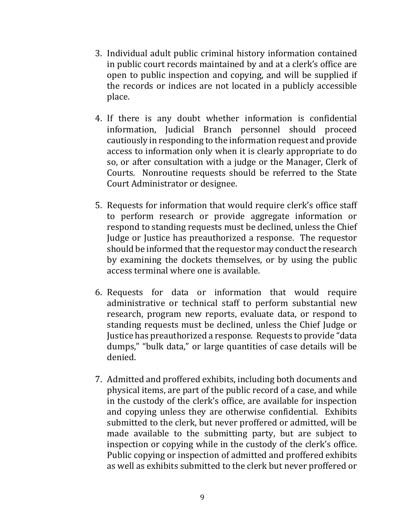- 3. Individual adult public criminal history information contained in public court records maintained by and at a clerk's office are open to public inspection and copying, and will be supplied if the records or indices are not located in a publicly accessible place.
- 4. If there is any doubt whether information is confidential information, Judicial Branch personnel should proceed cautiously in responding to the information request and provide access to information only when it is clearly appropriate to do so, or after consultation with a judge or the Manager, Clerk of Courts. Nonroutine requests should be referred to the State Court Administrator or designee.
- 5. Requests for information that would require clerk's office staff to perform research or provide aggregate information or respond to standing requests must be declined, unless the Chief Judge or Justice has preauthorized a response. The requestor should be informed that the requestor may conduct the research by examining the dockets themselves, or by using the public access terminal where one is available.
- 6. Requests for data or information that would require administrative or technical staff to perform substantial new research, program new reports, evaluate data, or respond to standing requests must be declined, unless the Chief Judge or Justice has preauthorized a response. Requests to provide "data dumps," "bulk data," or large quantities of case details will be denied.
- 7. Admitted and proffered exhibits, including both documents and physical items, are part of the public record of a case, and while in the custody of the clerk's office, are available for inspection and copying unless they are otherwise confidential. Exhibits submitted to the clerk, but never proffered or admitted, will be made available to the submitting party, but are subject to inspection or copying while in the custody of the clerk's office. Public copying or inspection of admitted and proffered exhibits as well as exhibits submitted to the clerk but never proffered or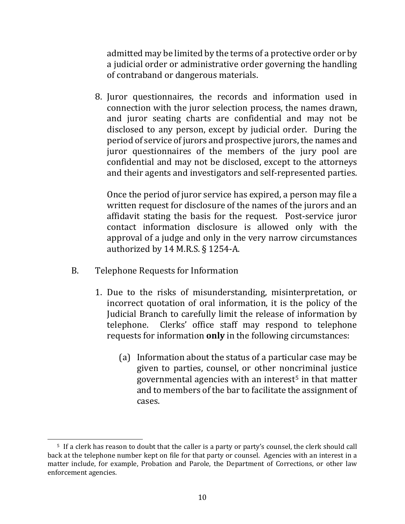admitted may be limited by the terms of a protective order or by a judicial order or administrative order governing the handling of contraband or dangerous materials.

8. Juror questionnaires, the records and information used in connection with the juror selection process, the names drawn, and juror seating charts are confidential and may not be disclosed to any person, except by judicial order. During the period of service of jurors and prospective jurors, the names and juror questionnaires of the members of the jury pool are confidential and may not be disclosed, except to the attorneys and their agents and investigators and self-represented parties.

Once the period of juror service has expired, a person may file a written request for disclosure of the names of the jurors and an affidavit stating the basis for the request. Post-service juror contact information disclosure is allowed only with the approval of a judge and only in the very narrow circumstances authorized by 14 M.R.S. § 1254-A.

- B. Telephone Requests for Information
	- 1. Due to the risks of misunderstanding, misinterpretation, or incorrect quotation of oral information, it is the policy of the Judicial Branch to carefully limit the release of information by telephone. Clerks' office staff may respond to telephone Clerks' office staff may respond to telephone requests for information **only** in the following circumstances:
		- (a) Information about the status of a particular case may be given to parties, counsel, or other noncriminal justice governmental agencies with an interest[5](#page-9-0) in that matter and to members of the bar to facilitate the assignment of cases.

<span id="page-9-0"></span><sup>5</sup> If a clerk has reason to doubt that the caller is a party or party's counsel, the clerk should call back at the telephone number kept on file for that party or counsel. Agencies with an interest in a matter include, for example, Probation and Parole, the Department of Corrections, or other law enforcement agencies.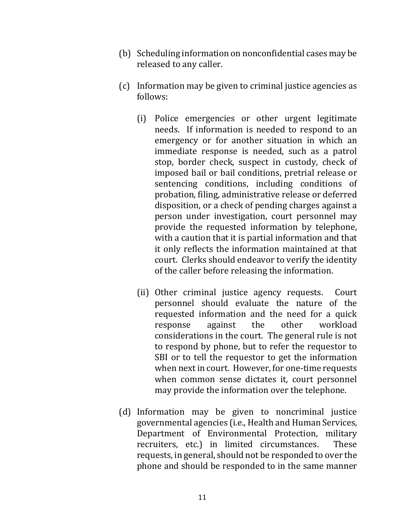- (b) Scheduling information on nonconfidential cases may be released to any caller.
- (c) Information may be given to criminal justice agencies as follows:
	- (i) Police emergencies or other urgent legitimate needs. If information is needed to respond to an emergency or for another situation in which an immediate response is needed, such as a patrol stop, border check, suspect in custody, check of imposed bail or bail conditions, pretrial release or sentencing conditions, including conditions of probation, filing, administrative release or deferred disposition, or a check of pending charges against a person under investigation, court personnel may provide the requested information by telephone, with a caution that it is partial information and that it only reflects the information maintained at that court. Clerks should endeavor to verify the identity of the caller before releasing the information.
	- (ii) Other criminal justice agency requests. Court personnel should evaluate the nature of the requested information and the need for a quick<br>response against the other workload response considerations in the court. The general rule is not to respond by phone, but to refer the requestor to SBI or to tell the requestor to get the information when next in court. However, for one-time requests when common sense dictates it, court personnel may provide the information over the telephone.
- (d) Information may be given to noncriminal justice governmental agencies (i.e., Health and Human Services, Department of Environmental Protection, military recruiters, etc.) in limited circumstances. These requests, in general, should not be responded to over the phone and should be responded to in the same manner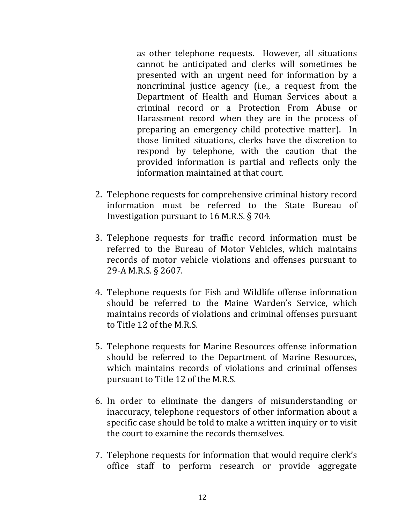as other telephone requests. However, all situations cannot be anticipated and clerks will sometimes be presented with an urgent need for information by a noncriminal justice agency (i.e., a request from the Department of Health and Human Services about a criminal record or a Protection From Abuse or Harassment record when they are in the process of preparing an emergency child protective matter). In those limited situations, clerks have the discretion to respond by telephone, with the caution that the provided information is partial and reflects only the information maintained at that court.

- 2. Telephone requests for comprehensive criminal history record information must be referred to the State Bureau of Investigation pursuant to 16 M.R.S. § 704.
- 3. Telephone requests for traffic record information must be referred to the Bureau of Motor Vehicles, which maintains records of motor vehicle violations and offenses pursuant to 29-A M.R.S. § 2607.
- 4. Telephone requests for Fish and Wildlife offense information should be referred to the Maine Warden's Service, which maintains records of violations and criminal offenses pursuant to Title 12 of the M.R.S.
- 5. Telephone requests for Marine Resources offense information should be referred to the Department of Marine Resources, which maintains records of violations and criminal offenses pursuant to Title 12 of the M.R.S.
- 6. In order to eliminate the dangers of misunderstanding or inaccuracy, telephone requestors of other information about a specific case should be told to make a written inquiry or to visit the court to examine the records themselves.
- 7. Telephone requests for information that would require clerk's office staff to perform research or provide aggregate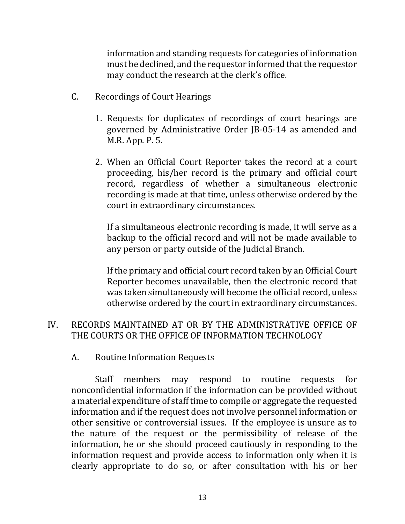information and standing requests for categories of information must be declined, and the requestor informed that the requestor may conduct the research at the clerk's office.

- C. Recordings of Court Hearings
	- 1. Requests for duplicates of recordings of court hearings are governed by Administrative Order JB-05-14 as amended and M.R. App. P. 5.
	- 2. When an Official Court Reporter takes the record at a court proceeding, his/her record is the primary and official court record, regardless of whether a simultaneous electronic recording is made at that time, unless otherwise ordered by the court in extraordinary circumstances.

If a simultaneous electronic recording is made, it will serve as a backup to the official record and will not be made available to any person or party outside of the Judicial Branch.

If the primary and official court record taken by an Official Court Reporter becomes unavailable, then the electronic record that was taken simultaneously will become the official record, unless otherwise ordered by the court in extraordinary circumstances.

# IV. RECORDS MAINTAINED AT OR BY THE ADMINISTRATIVE OFFICE OF THE COURTS OR THE OFFICE OF INFORMATION TECHNOLOGY

A. Routine Information Requests

Staff members may respond to routine requests for nonconfidential information if the information can be provided without a material expenditure of staff time to compile or aggregate the requested information and if the request does not involve personnel information or other sensitive or controversial issues. If the employee is unsure as to the nature of the request or the permissibility of release of the information, he or she should proceed cautiously in responding to the information request and provide access to information only when it is clearly appropriate to do so, or after consultation with his or her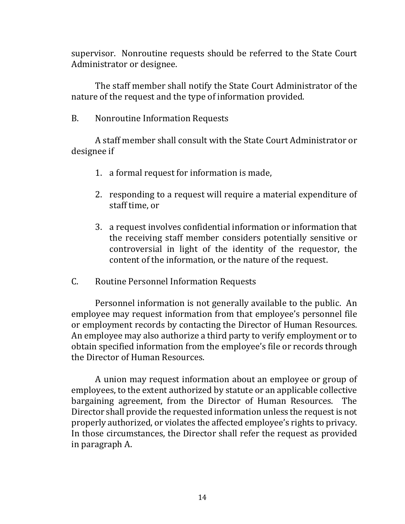supervisor. Nonroutine requests should be referred to the State Court Administrator or designee.

The staff member shall notify the State Court Administrator of the nature of the request and the type of information provided.

B. Nonroutine Information Requests

A staff member shall consult with the State Court Administrator or designee if

- 1. a formal request for information is made,
- 2. responding to a request will require a material expenditure of staff time, or
- 3. a request involves confidential information or information that the receiving staff member considers potentially sensitive or controversial in light of the identity of the requestor, the content of the information, or the nature of the request.
- C. Routine Personnel Information Requests

Personnel information is not generally available to the public. An employee may request information from that employee's personnel file or employment records by contacting the Director of Human Resources. An employee may also authorize a third party to verify employment or to obtain specified information from the employee's file or records through the Director of Human Resources.

A union may request information about an employee or group of employees, to the extent authorized by statute or an applicable collective bargaining agreement, from the Director of Human Resources. The Director shall provide the requested information unless the request is not properly authorized, or violates the affected employee's rights to privacy. In those circumstances, the Director shall refer the request as provided in paragraph A.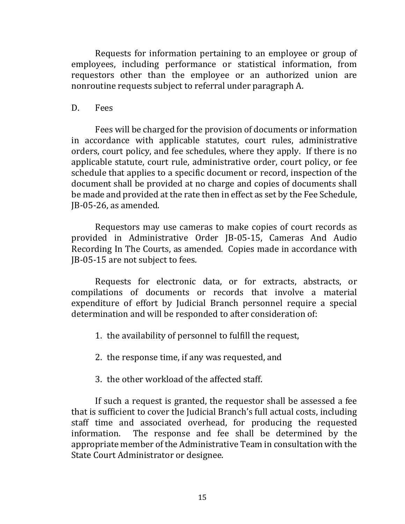Requests for information pertaining to an employee or group of employees, including performance or statistical information, from requestors other than the employee or an authorized union are nonroutine requests subject to referral under paragraph A.

#### D. Fees

Fees will be charged for the provision of documents or information in accordance with applicable statutes, court rules, administrative orders, court policy, and fee schedules, where they apply. If there is no applicable statute, court rule, administrative order, court policy, or fee schedule that applies to a specific document or record, inspection of the document shall be provided at no charge and copies of documents shall be made and provided at the rate then in effect as set by the Fee Schedule, JB-05-26, as amended.

Requestors may use cameras to make copies of court records as provided in Administrative Order JB-05-15, Cameras And Audio Recording In The Courts, as amended. Copies made in accordance with JB-05-15 are not subject to fees.

Requests for electronic data, or for extracts, abstracts, or compilations of documents or records that involve a material expenditure of effort by Judicial Branch personnel require a special determination and will be responded to after consideration of:

- 1. the availability of personnel to fulfill the request,
- 2. the response time, if any was requested, and
- 3. the other workload of the affected staff.

If such a request is granted, the requestor shall be assessed a fee that is sufficient to cover the Judicial Branch's full actual costs, including staff time and associated overhead, for producing the requested information. The response and fee shall be determined by the The response and fee shall be determined by the appropriate member of the Administrative Team in consultation with the State Court Administrator or designee.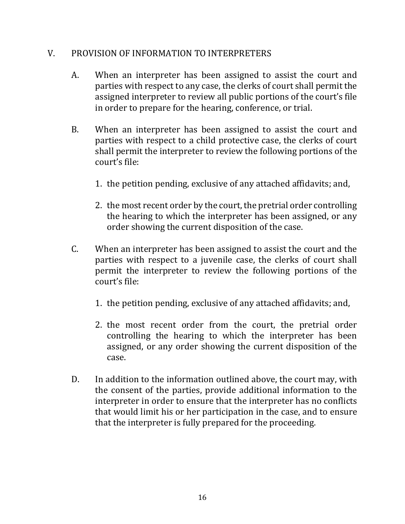### V. PROVISION OF INFORMATION TO INTERPRETERS

- A. When an interpreter has been assigned to assist the court and parties with respect to any case, the clerks of court shall permit the assigned interpreter to review all public portions of the court's file in order to prepare for the hearing, conference, or trial.
- B. When an interpreter has been assigned to assist the court and parties with respect to a child protective case, the clerks of court shall permit the interpreter to review the following portions of the court's file:
	- 1. the petition pending, exclusive of any attached affidavits; and,
	- 2. the most recent order by the court, the pretrial order controlling the hearing to which the interpreter has been assigned, or any order showing the current disposition of the case.
- C. When an interpreter has been assigned to assist the court and the parties with respect to a juvenile case, the clerks of court shall permit the interpreter to review the following portions of the court's file:
	- 1. the petition pending, exclusive of any attached affidavits; and,
	- 2. the most recent order from the court, the pretrial order controlling the hearing to which the interpreter has been assigned, or any order showing the current disposition of the case.
- D. In addition to the information outlined above, the court may, with the consent of the parties, provide additional information to the interpreter in order to ensure that the interpreter has no conflicts that would limit his or her participation in the case, and to ensure that the interpreter is fully prepared for the proceeding.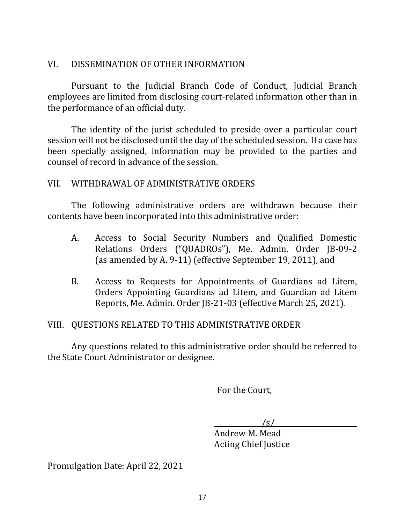# VI. DISSEMINATION OF OTHER INFORMATION

Pursuant to the Judicial Branch Code of Conduct, Judicial Branch employees are limited from disclosing court-related information other than in the performance of an official duty.

The identity of the jurist scheduled to preside over a particular court session will not be disclosed until the day of the scheduled session. If a case has been specially assigned, information may be provided to the parties and counsel of record in advance of the session.

# VII. WITHDRAWAL OF ADMINISTRATIVE ORDERS

The following administrative orders are withdrawn because their contents have been incorporated into this administrative order:

- A. Access to Social Security Numbers and Qualified Domestic Relations Orders ("QUADROs"), Me. Admin. Order JB-09-2 (as amended by A. 9-11) (effective September 19, 2011), and
- B. Access to Requests for Appointments of Guardians ad Litem, Orders Appointing Guardians ad Litem, and Guardian ad Litem Reports, Me. Admin. Order JB-21-03 (effective March 25, 2021).

# VIII. QUESTIONS RELATED TO THIS ADMINISTRATIVE ORDER

Any questions related to this administrative order should be referred to the State Court Administrator or designee.

For the Court,

 $\sqrt{s/2}$ 

Andrew M. Mead Acting Chief Justice

Promulgation Date: April 22, 2021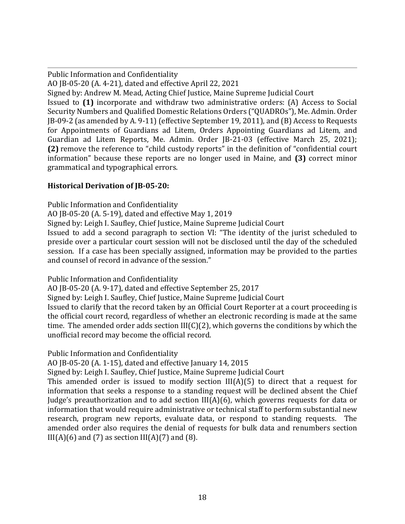Public Information and Confidentiality

AO JB-05-20 (A. 4-21), dated and effective April 22, 2021

Signed by: Andrew M. Mead, Acting Chief Justice, Maine Supreme Judicial Court

Issued to **(1)** incorporate and withdraw two administrative orders: (A) Access to Social Security Numbers and Qualified Domestic Relations Orders ("QUADROs"), Me. Admin. Order JB-09-2 (as amended by A. 9-11) (effective September 19, 2011), and (B) Access to Requests for Appointments of Guardians ad Litem, Orders Appointing Guardians ad Litem, and Guardian ad Litem Reports, Me. Admin. Order JB-21-03 (effective March 25, 2021); **(2)** remove the reference to "child custody reports" in the definition of "confidential court information" because these reports are no longer used in Maine, and **(3)** correct minor grammatical and typographical errors.

#### **Historical Derivation of JB-05-20:**

Public Information and Confidentiality AO JB-05-20 (A. 5-19), dated and effective May 1, 2019 Signed by: Leigh I. Saufley, Chief Justice, Maine Supreme Judicial Court Issued to add a second paragraph to section VI: "The identity of the jurist scheduled to preside over a particular court session will not be disclosed until the day of the scheduled session. If a case has been specially assigned, information may be provided to the parties and counsel of record in advance of the session."

Public Information and Confidentiality

AO JB-05-20 (A. 9-17), dated and effective September 25, 2017

Signed by: Leigh I. Saufley, Chief Justice, Maine Supreme Judicial Court

Issued to clarify that the record taken by an Official Court Reporter at a court proceeding is the official court record, regardless of whether an electronic recording is made at the same time. The amended order adds section III(C)(2), which governs the conditions by which the unofficial record may become the official record.

Public Information and Confidentiality

AO JB-05-20 (A. 1-15), dated and effective January 14, 2015

Signed by: Leigh I. Saufley, Chief Justice, Maine Supreme Judicial Court

This amended order is issued to modify section  $III(A)(5)$  to direct that a request for information that seeks a response to a standing request will be declined absent the Chief Judge's preauthorization and to add section III(A)(6), which governs requests for data or information that would require administrative or technical staff to perform substantial new research, program new reports, evaluate data, or respond to standing requests. The amended order also requires the denial of requests for bulk data and renumbers section  $III(A)(6)$  and (7) as section  $III(A)(7)$  and (8).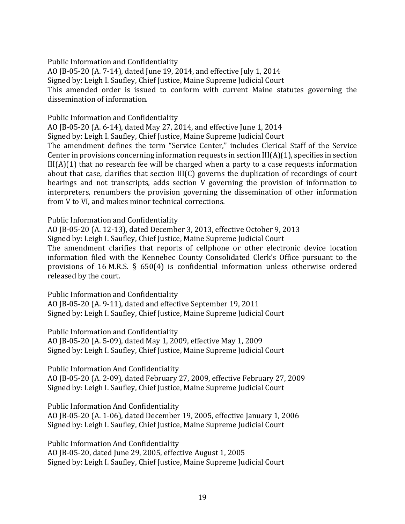Public Information and Confidentiality

AO JB-05-20 (A. 7-14), dated June 19, 2014, and effective July 1, 2014 Signed by: Leigh I. Saufley, Chief Justice, Maine Supreme Judicial Court This amended order is issued to conform with current Maine statutes governing the dissemination of information.

Public Information and Confidentiality

AO JB-05-20 (A. 6-14), dated May 27, 2014, and effective June 1, 2014 Signed by: Leigh I. Saufley, Chief Justice, Maine Supreme Judicial Court The amendment defines the term "Service Center," includes Clerical Staff of the Service Center in provisions concerning information requests in section III(A)(1), specifies in section III(A)(1) that no research fee will be charged when a party to a case requests information about that case, clarifies that section III(C) governs the duplication of recordings of court hearings and not transcripts, adds section V governing the provision of information to interpreters, renumbers the provision governing the dissemination of other information from V to VI, and makes minor technical corrections.

Public Information and Confidentiality

AO JB-05-20 (A. 12-13), dated December 3, 2013, effective October 9, 2013

Signed by: Leigh I. Saufley, Chief Justice, Maine Supreme Judicial Court

The amendment clarifies that reports of cellphone or other electronic device location information filed with the Kennebec County Consolidated Clerk's Office pursuant to the provisions of 16 M.R.S. § 650(4) is confidential information unless otherwise ordered released by the court.

Public Information and Confidentiality AO JB-05-20 (A. 9-11), dated and effective September 19, 2011 Signed by: Leigh I. Saufley, Chief Justice, Maine Supreme Judicial Court

Public Information and Confidentiality AO JB-05-20 (A. 5-09), dated May 1, 2009, effective May 1, 2009 Signed by: Leigh I. Saufley, Chief Justice, Maine Supreme Judicial Court

Public Information And Confidentiality

AO JB-05-20 (A. 2-09), dated February 27, 2009, effective February 27, 2009 Signed by: Leigh I. Saufley, Chief Justice, Maine Supreme Judicial Court

Public Information And Confidentiality

AO JB-05-20 (A. 1-06), dated December 19, 2005, effective January 1, 2006 Signed by: Leigh I. Saufley, Chief Justice, Maine Supreme Judicial Court

Public Information And Confidentiality AO JB-05-20, dated June 29, 2005, effective August 1, 2005 Signed by: Leigh I. Saufley, Chief Justice, Maine Supreme Judicial Court